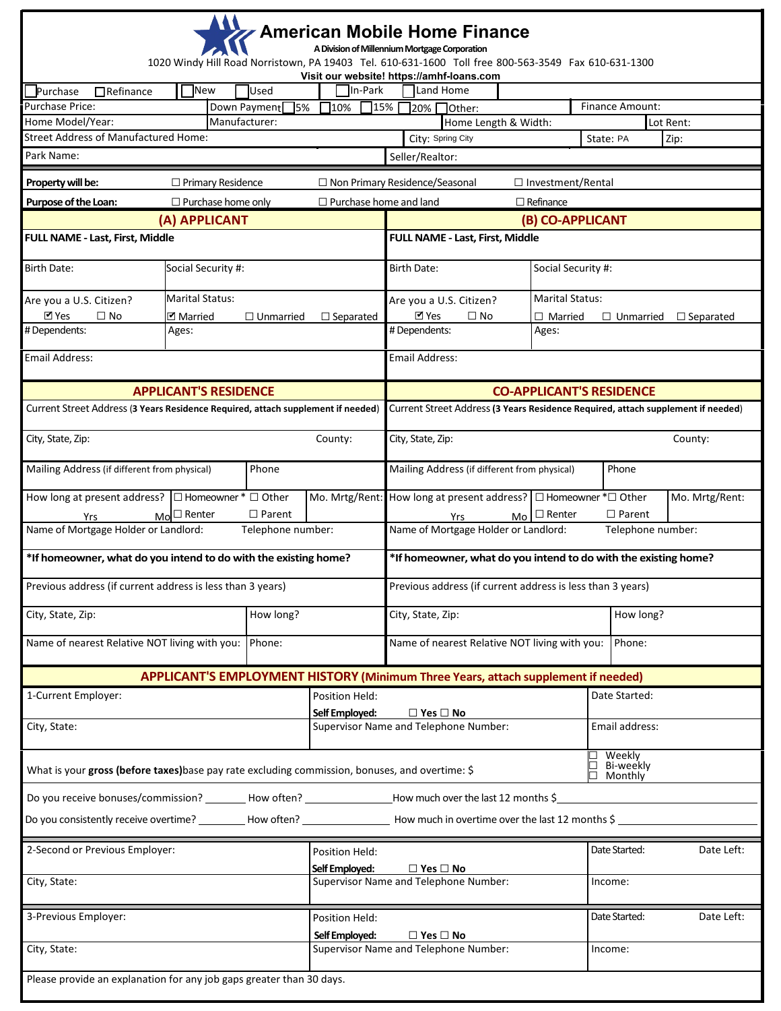|                                                                                                                  |                                                                                                        |                                  |                                                                                 | <b>American Mobile Home Finance</b><br>A Division of Millennium Mortgage Corporation<br>1020 Windy Hill Road Norristown, PA 19403 Tel. 610-631-1600 Toll free 800-563-3549 Fax 610-631-1300 |                          |                                                 |  |  |
|------------------------------------------------------------------------------------------------------------------|--------------------------------------------------------------------------------------------------------|----------------------------------|---------------------------------------------------------------------------------|---------------------------------------------------------------------------------------------------------------------------------------------------------------------------------------------|--------------------------|-------------------------------------------------|--|--|
|                                                                                                                  |                                                                                                        |                                  |                                                                                 | Visit our website! https://amhf-loans.com                                                                                                                                                   |                          |                                                 |  |  |
| Purchase<br>$\Box$ Refinance                                                                                     | <b>New</b>                                                                                             | Used                             | In-Park                                                                         | Land Home                                                                                                                                                                                   |                          |                                                 |  |  |
| <b>Purchase Price:</b><br>Home Model/Year:                                                                       | Manufacturer:                                                                                          | Down Payment<br>$\overline{5\%}$ | 15%<br>710%                                                                     | 20% Other:<br>Home Length & Width:                                                                                                                                                          |                          | <b>Finance Amount:</b><br>Lot Rent:             |  |  |
| <b>Street Address of Manufactured Home:</b>                                                                      |                                                                                                        |                                  |                                                                                 | City: Spring City                                                                                                                                                                           |                          | Zip:<br>State: PA                               |  |  |
| Park Name:                                                                                                       |                                                                                                        |                                  |                                                                                 | Seller/Realtor:                                                                                                                                                                             |                          |                                                 |  |  |
|                                                                                                                  |                                                                                                        |                                  |                                                                                 |                                                                                                                                                                                             |                          |                                                 |  |  |
| Property will be:                                                                                                | $\Box$ Primary Residence                                                                               |                                  |                                                                                 | $\Box$ Non Primary Residence/Seasonal                                                                                                                                                       | $\Box$ Investment/Rental |                                                 |  |  |
|                                                                                                                  | Purpose of the Loan:<br>$\Box$ Purchase home only<br>$\Box$ Purchase home and land<br>$\Box$ Refinance |                                  |                                                                                 |                                                                                                                                                                                             |                          |                                                 |  |  |
|                                                                                                                  | (A) APPLICANT                                                                                          |                                  |                                                                                 | (B) CO-APPLICANT                                                                                                                                                                            |                          |                                                 |  |  |
| FULL NAME - Last, First, Middle                                                                                  |                                                                                                        |                                  |                                                                                 | FULL NAME - Last, First, Middle                                                                                                                                                             |                          |                                                 |  |  |
| <b>Birth Date:</b><br>Social Security #:                                                                         |                                                                                                        |                                  |                                                                                 | <b>Birth Date:</b>                                                                                                                                                                          | Social Security #:       |                                                 |  |  |
| Are you a U.S. Citizen?                                                                                          | <b>Marital Status:</b>                                                                                 |                                  |                                                                                 | Are you a U.S. Citizen?                                                                                                                                                                     | <b>Marital Status:</b>   |                                                 |  |  |
| $M$ Yes<br>$\square$ No<br>#Dependents:                                                                          | <b>Ø</b> Married<br>Ages:                                                                              | $\Box$ Unmarried                 | $\Box$ Separated                                                                | <b>Ø</b> Yes<br>$\square$ No<br># Dependents:                                                                                                                                               | $\Box$ Married<br>Ages:  | $\Box$ Separated<br>$\Box$ Unmarried            |  |  |
| <b>Email Address:</b>                                                                                            |                                                                                                        |                                  |                                                                                 | <b>Email Address:</b>                                                                                                                                                                       |                          |                                                 |  |  |
|                                                                                                                  |                                                                                                        |                                  |                                                                                 |                                                                                                                                                                                             |                          |                                                 |  |  |
| <b>APPLICANT'S RESIDENCE</b><br>Current Street Address (3 Years Residence Required, attach supplement if needed) |                                                                                                        |                                  |                                                                                 | <b>CO-APPLICANT'S RESIDENCE</b><br>Current Street Address (3 Years Residence Required, attach supplement if needed)                                                                         |                          |                                                 |  |  |
|                                                                                                                  |                                                                                                        |                                  |                                                                                 |                                                                                                                                                                                             |                          |                                                 |  |  |
| City, State, Zip:                                                                                                |                                                                                                        |                                  | County:                                                                         | City, State, Zip:                                                                                                                                                                           |                          | County:                                         |  |  |
| Mailing Address (if different from physical)                                                                     |                                                                                                        | Phone                            |                                                                                 | Mailing Address (if different from physical)                                                                                                                                                |                          | Phone                                           |  |  |
| How long at present address? $\Box$ Homeowner $*$ $\Box$ Other<br>Yrs                                            | $Mo^{\square}$ Renter                                                                                  | $\Box$ Parent                    | Mo. Mrtg/Rent:                                                                  | How long at present address? $\Box$ Homeowner * $\Box$ Other<br>Yrs                                                                                                                         | $Mo$ $\Box$ Renter       | Mo. Mrtg/Rent:<br>$\Box$ Parent                 |  |  |
| Name of Mortgage Holder or Landlord:                                                                             |                                                                                                        | Telephone number:                |                                                                                 | Name of Mortgage Holder or Landlord:                                                                                                                                                        |                          | Telephone number:                               |  |  |
| *If homeowner, what do you intend to do with the existing home?                                                  |                                                                                                        |                                  |                                                                                 | *If homeowner, what do you intend to do with the existing home?                                                                                                                             |                          |                                                 |  |  |
| Previous address (if current address is less than 3 years)                                                       |                                                                                                        |                                  |                                                                                 | Previous address (if current address is less than 3 years)                                                                                                                                  |                          |                                                 |  |  |
| How long?<br>City, State, Zip:                                                                                   |                                                                                                        |                                  | City, State, Zip:                                                               |                                                                                                                                                                                             | How long?                |                                                 |  |  |
|                                                                                                                  | Name of nearest Relative NOT living with you:<br>Phone:                                                |                                  | Name of nearest Relative NOT living with you:                                   |                                                                                                                                                                                             |                          | Phone:                                          |  |  |
|                                                                                                                  |                                                                                                        |                                  |                                                                                 | APPLICANT'S EMPLOYMENT HISTORY (Minimum Three Years, attach supplement if needed)                                                                                                           |                          |                                                 |  |  |
| 1-Current Employer:                                                                                              |                                                                                                        |                                  | Position Held:                                                                  |                                                                                                                                                                                             |                          | Date Started:                                   |  |  |
| City, State:                                                                                                     |                                                                                                        |                                  | Self Employed:<br>$\Box$ Yes $\Box$ No<br>Supervisor Name and Telephone Number: |                                                                                                                                                                                             |                          | Email address:                                  |  |  |
| What is your gross (before taxes) base pay rate excluding commission, bonuses, and overtime: \$                  |                                                                                                        |                                  |                                                                                 |                                                                                                                                                                                             |                          | $\square$ Weekly<br>$\Box$ Bi-weekly<br>Monthly |  |  |
|                                                                                                                  |                                                                                                        |                                  |                                                                                 | Do you receive bonuses/commission? ________How often? _______________How much over the last 12 months \$                                                                                    |                          |                                                 |  |  |
|                                                                                                                  |                                                                                                        |                                  |                                                                                 | Do you consistently receive overtime? __________How often? ____________________How much in overtime over the last 12 months \$                                                              |                          |                                                 |  |  |
| 2-Second or Previous Employer:                                                                                   |                                                                                                        |                                  | <b>Position Held:</b>                                                           |                                                                                                                                                                                             |                          | Date Started:<br>Date Left:                     |  |  |
| City, State:                                                                                                     |                                                                                                        |                                  | Self Employed:                                                                  | $\Box$ Yes $\Box$ No<br>Supervisor Name and Telephone Number:<br>Income:                                                                                                                    |                          |                                                 |  |  |
| 3-Previous Employer:                                                                                             |                                                                                                        |                                  | Position Held:                                                                  |                                                                                                                                                                                             |                          | Date Started:<br>Date Left:                     |  |  |
| City, State:                                                                                                     |                                                                                                        |                                  | $\Box$ Yes $\Box$ No<br>Self Employed:<br>Supervisor Name and Telephone Number: |                                                                                                                                                                                             |                          | Income:                                         |  |  |
|                                                                                                                  |                                                                                                        |                                  |                                                                                 |                                                                                                                                                                                             |                          |                                                 |  |  |
| Please provide an explanation for any job gaps greater than 30 days.                                             |                                                                                                        |                                  |                                                                                 |                                                                                                                                                                                             |                          |                                                 |  |  |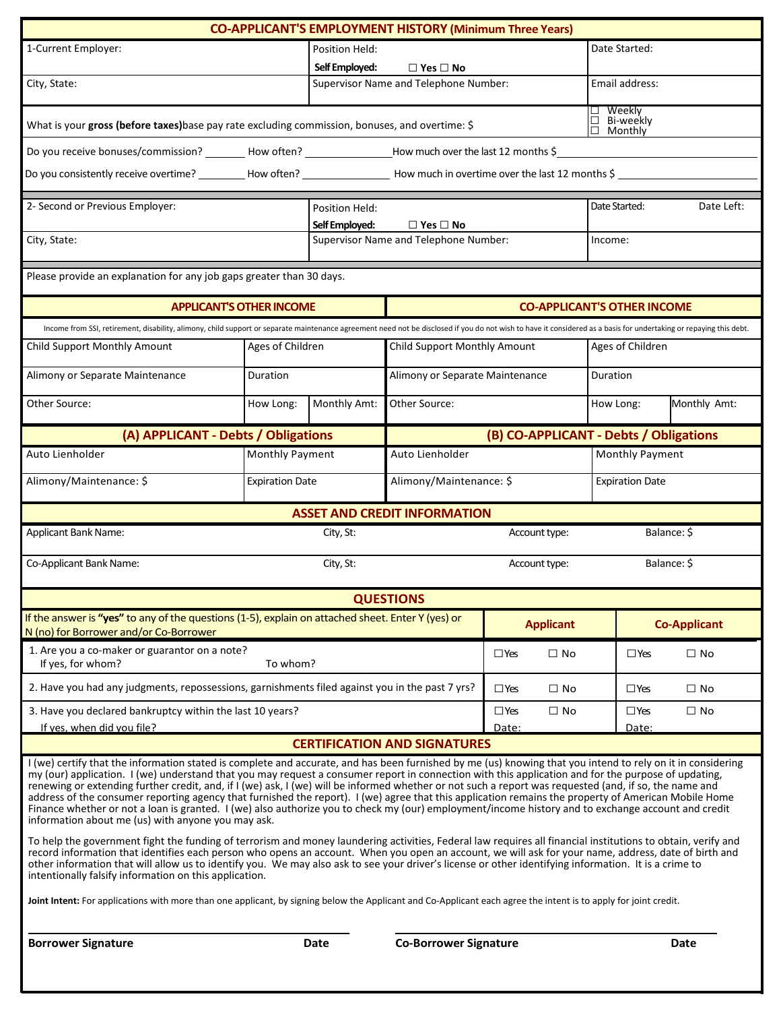|                                                                                                                                                                                                                                                                                                                                                                                                                                                                                                                                                                                                                                                                                                                                                                                                                                                                                                                                                                                                                                                                                                                                                                                                                                                                                                                                                                                                                                                                                                                                                                 |                                 |                                        | <b>CO-APPLICANT'S EMPLOYMENT HISTORY (Minimum Three Years)</b> |                                        |                                                   |              |
|-----------------------------------------------------------------------------------------------------------------------------------------------------------------------------------------------------------------------------------------------------------------------------------------------------------------------------------------------------------------------------------------------------------------------------------------------------------------------------------------------------------------------------------------------------------------------------------------------------------------------------------------------------------------------------------------------------------------------------------------------------------------------------------------------------------------------------------------------------------------------------------------------------------------------------------------------------------------------------------------------------------------------------------------------------------------------------------------------------------------------------------------------------------------------------------------------------------------------------------------------------------------------------------------------------------------------------------------------------------------------------------------------------------------------------------------------------------------------------------------------------------------------------------------------------------------|---------------------------------|----------------------------------------|----------------------------------------------------------------|----------------------------------------|---------------------------------------------------|--------------|
| 1-Current Employer:                                                                                                                                                                                                                                                                                                                                                                                                                                                                                                                                                                                                                                                                                                                                                                                                                                                                                                                                                                                                                                                                                                                                                                                                                                                                                                                                                                                                                                                                                                                                             |                                 | Position Held:                         |                                                                |                                        | Date Started:                                     |              |
|                                                                                                                                                                                                                                                                                                                                                                                                                                                                                                                                                                                                                                                                                                                                                                                                                                                                                                                                                                                                                                                                                                                                                                                                                                                                                                                                                                                                                                                                                                                                                                 |                                 | Self Employed:                         | $\Box$ Yes $\Box$ No                                           |                                        |                                                   |              |
| City, State:                                                                                                                                                                                                                                                                                                                                                                                                                                                                                                                                                                                                                                                                                                                                                                                                                                                                                                                                                                                                                                                                                                                                                                                                                                                                                                                                                                                                                                                                                                                                                    |                                 |                                        | Supervisor Name and Telephone Number:                          |                                        | Email address:                                    |              |
| What is your gross (before taxes) base pay rate excluding commission, bonuses, and overtime: \$                                                                                                                                                                                                                                                                                                                                                                                                                                                                                                                                                                                                                                                                                                                                                                                                                                                                                                                                                                                                                                                                                                                                                                                                                                                                                                                                                                                                                                                                 |                                 |                                        |                                                                |                                        | $\square$ Weekly<br>□ Bi-weekly<br>$\Box$ Monthly |              |
| Do you receive bonuses/commission? ________ How often? _______________How much over the last 12 months \$                                                                                                                                                                                                                                                                                                                                                                                                                                                                                                                                                                                                                                                                                                                                                                                                                                                                                                                                                                                                                                                                                                                                                                                                                                                                                                                                                                                                                                                       |                                 |                                        |                                                                |                                        |                                                   |              |
| Do you consistently receive overtime? __________How often? ______________________How much in overtime over the last 12 months \$                                                                                                                                                                                                                                                                                                                                                                                                                                                                                                                                                                                                                                                                                                                                                                                                                                                                                                                                                                                                                                                                                                                                                                                                                                                                                                                                                                                                                                |                                 |                                        |                                                                |                                        |                                                   |              |
| 2- Second or Previous Employer:                                                                                                                                                                                                                                                                                                                                                                                                                                                                                                                                                                                                                                                                                                                                                                                                                                                                                                                                                                                                                                                                                                                                                                                                                                                                                                                                                                                                                                                                                                                                 |                                 | Position Held:                         |                                                                |                                        | Date Started:                                     | Date Left:   |
|                                                                                                                                                                                                                                                                                                                                                                                                                                                                                                                                                                                                                                                                                                                                                                                                                                                                                                                                                                                                                                                                                                                                                                                                                                                                                                                                                                                                                                                                                                                                                                 |                                 | Self Employed:<br>$\Box$ Yes $\Box$ No |                                                                |                                        |                                                   |              |
| City, State:                                                                                                                                                                                                                                                                                                                                                                                                                                                                                                                                                                                                                                                                                                                                                                                                                                                                                                                                                                                                                                                                                                                                                                                                                                                                                                                                                                                                                                                                                                                                                    |                                 | Supervisor Name and Telephone Number:  |                                                                |                                        | Income:                                           |              |
| Please provide an explanation for any job gaps greater than 30 days.                                                                                                                                                                                                                                                                                                                                                                                                                                                                                                                                                                                                                                                                                                                                                                                                                                                                                                                                                                                                                                                                                                                                                                                                                                                                                                                                                                                                                                                                                            |                                 |                                        |                                                                |                                        |                                                   |              |
|                                                                                                                                                                                                                                                                                                                                                                                                                                                                                                                                                                                                                                                                                                                                                                                                                                                                                                                                                                                                                                                                                                                                                                                                                                                                                                                                                                                                                                                                                                                                                                 | <b>APPLICANT'S OTHER INCOME</b> |                                        |                                                                |                                        | <b>CO-APPLICANT'S OTHER INCOME</b>                |              |
| Income from SSI, retirement, disability, alimony, child support or separate maintenance agreement need not be disclosed if you do not wish to have it considered as a basis for undertaking or repaying this debt.                                                                                                                                                                                                                                                                                                                                                                                                                                                                                                                                                                                                                                                                                                                                                                                                                                                                                                                                                                                                                                                                                                                                                                                                                                                                                                                                              |                                 |                                        |                                                                |                                        |                                                   |              |
| Child Support Monthly Amount                                                                                                                                                                                                                                                                                                                                                                                                                                                                                                                                                                                                                                                                                                                                                                                                                                                                                                                                                                                                                                                                                                                                                                                                                                                                                                                                                                                                                                                                                                                                    | Ages of Children                |                                        | Child Support Monthly Amount                                   |                                        | Ages of Children                                  |              |
| Alimony or Separate Maintenance                                                                                                                                                                                                                                                                                                                                                                                                                                                                                                                                                                                                                                                                                                                                                                                                                                                                                                                                                                                                                                                                                                                                                                                                                                                                                                                                                                                                                                                                                                                                 | Duration                        |                                        | Alimony or Separate Maintenance                                |                                        | Duration                                          |              |
| Other Source:                                                                                                                                                                                                                                                                                                                                                                                                                                                                                                                                                                                                                                                                                                                                                                                                                                                                                                                                                                                                                                                                                                                                                                                                                                                                                                                                                                                                                                                                                                                                                   | How Long:                       | Monthly Amt:                           | Other Source:                                                  |                                        | How Long:                                         | Monthly Amt: |
| (A) APPLICANT - Debts / Obligations                                                                                                                                                                                                                                                                                                                                                                                                                                                                                                                                                                                                                                                                                                                                                                                                                                                                                                                                                                                                                                                                                                                                                                                                                                                                                                                                                                                                                                                                                                                             |                                 |                                        |                                                                | (B) CO-APPLICANT - Debts / Obligations |                                                   |              |
| Auto Lienholder                                                                                                                                                                                                                                                                                                                                                                                                                                                                                                                                                                                                                                                                                                                                                                                                                                                                                                                                                                                                                                                                                                                                                                                                                                                                                                                                                                                                                                                                                                                                                 | Monthly Payment                 |                                        | Auto Lienholder<br>Monthly Payment                             |                                        |                                                   |              |
| Alimony/Maintenance: \$                                                                                                                                                                                                                                                                                                                                                                                                                                                                                                                                                                                                                                                                                                                                                                                                                                                                                                                                                                                                                                                                                                                                                                                                                                                                                                                                                                                                                                                                                                                                         | <b>Expiration Date</b>          |                                        | Alimony/Maintenance: \$                                        |                                        | <b>Expiration Date</b>                            |              |
|                                                                                                                                                                                                                                                                                                                                                                                                                                                                                                                                                                                                                                                                                                                                                                                                                                                                                                                                                                                                                                                                                                                                                                                                                                                                                                                                                                                                                                                                                                                                                                 |                                 |                                        | <b>ASSET AND CREDIT INFORMATION</b>                            |                                        |                                                   |              |
| Applicant Bank Name:                                                                                                                                                                                                                                                                                                                                                                                                                                                                                                                                                                                                                                                                                                                                                                                                                                                                                                                                                                                                                                                                                                                                                                                                                                                                                                                                                                                                                                                                                                                                            |                                 | City, St:                              |                                                                | Account type:                          |                                                   | Balance: \$  |
| Co-Applicant Bank Name:<br>City, St:                                                                                                                                                                                                                                                                                                                                                                                                                                                                                                                                                                                                                                                                                                                                                                                                                                                                                                                                                                                                                                                                                                                                                                                                                                                                                                                                                                                                                                                                                                                            |                                 |                                        | Balance: \$<br>Account type:                                   |                                        |                                                   |              |
|                                                                                                                                                                                                                                                                                                                                                                                                                                                                                                                                                                                                                                                                                                                                                                                                                                                                                                                                                                                                                                                                                                                                                                                                                                                                                                                                                                                                                                                                                                                                                                 |                                 |                                        | <b>QUESTIONS</b>                                               |                                        |                                                   |              |
| If the answer is "yes" to any of the questions (1-5), explain on attached sheet. Enter Y (yes) or<br>N (no) for Borrower and/or Co-Borrower                                                                                                                                                                                                                                                                                                                                                                                                                                                                                                                                                                                                                                                                                                                                                                                                                                                                                                                                                                                                                                                                                                                                                                                                                                                                                                                                                                                                                     |                                 | <b>Applicant</b>                       |                                                                | <b>Co-Applicant</b>                    |                                                   |              |
| 1. Are you a co-maker or guarantor on a note?<br>If yes, for whom?                                                                                                                                                                                                                                                                                                                                                                                                                                                                                                                                                                                                                                                                                                                                                                                                                                                                                                                                                                                                                                                                                                                                                                                                                                                                                                                                                                                                                                                                                              | To whom?                        |                                        |                                                                | $\square$ Yes<br>$\Box$ No             | $\square$ Yes                                     | $\Box$ No    |
| 2. Have you had any judgments, repossessions, garnishments filed against you in the past 7 yrs?                                                                                                                                                                                                                                                                                                                                                                                                                                                                                                                                                                                                                                                                                                                                                                                                                                                                                                                                                                                                                                                                                                                                                                                                                                                                                                                                                                                                                                                                 |                                 |                                        |                                                                | $\square$ Yes<br>$\Box$ No             | $\square$ Yes                                     | $\square$ No |
| 3. Have you declared bankruptcy within the last 10 years?                                                                                                                                                                                                                                                                                                                                                                                                                                                                                                                                                                                                                                                                                                                                                                                                                                                                                                                                                                                                                                                                                                                                                                                                                                                                                                                                                                                                                                                                                                       |                                 | $\square$ No<br>$\square$ Yes          | $\square$ Yes                                                  | $\square$ No                           |                                                   |              |
| If yes, when did you file?                                                                                                                                                                                                                                                                                                                                                                                                                                                                                                                                                                                                                                                                                                                                                                                                                                                                                                                                                                                                                                                                                                                                                                                                                                                                                                                                                                                                                                                                                                                                      |                                 |                                        | <b>CERTIFICATION AND SIGNATURES</b>                            | Date:                                  | Date:                                             |              |
| I (we) certify that the information stated is complete and accurate, and has been furnished by me (us) knowing that you intend to rely on it in considering<br>my (our) application. I (we) understand that you may request a consumer report in connection with this application and for the purpose of updating,<br>renewing or extending further credit, and, if I (we) ask, I (we) will be informed whether or not such a report was requested (and, if so, the name and<br>address of the consumer reporting agency that furnished the report). I (we) agree that this application remains the property of American Mobile Home<br>Finance whether or not a loan is granted. I (we) also authorize you to check my (our) employment/income history and to exchange account and credit<br>information about me (us) with anyone you may ask.<br>To help the government fight the funding of terrorism and money laundering activities, Federal law requires all financial institutions to obtain, verify and<br>record information that identifies each person who opens an account. When you open an account, we will ask for your name, address, date of birth and<br>other information that will allow us to identify you. We may also ask to see your driver's license or other identifying information. It is a crime to<br>intentionally falsify information on this application.<br>Joint Intent: For applications with more than one applicant, by signing below the Applicant and Co-Applicant each agree the intent is to apply for joint credit. |                                 |                                        |                                                                |                                        |                                                   |              |
|                                                                                                                                                                                                                                                                                                                                                                                                                                                                                                                                                                                                                                                                                                                                                                                                                                                                                                                                                                                                                                                                                                                                                                                                                                                                                                                                                                                                                                                                                                                                                                 |                                 |                                        |                                                                |                                        |                                                   |              |
| <b>Borrower Signature</b>                                                                                                                                                                                                                                                                                                                                                                                                                                                                                                                                                                                                                                                                                                                                                                                                                                                                                                                                                                                                                                                                                                                                                                                                                                                                                                                                                                                                                                                                                                                                       |                                 | Date                                   | <b>Co-Borrower Signature</b>                                   |                                        |                                                   | <b>Date</b>  |
|                                                                                                                                                                                                                                                                                                                                                                                                                                                                                                                                                                                                                                                                                                                                                                                                                                                                                                                                                                                                                                                                                                                                                                                                                                                                                                                                                                                                                                                                                                                                                                 |                                 |                                        |                                                                |                                        |                                                   |              |